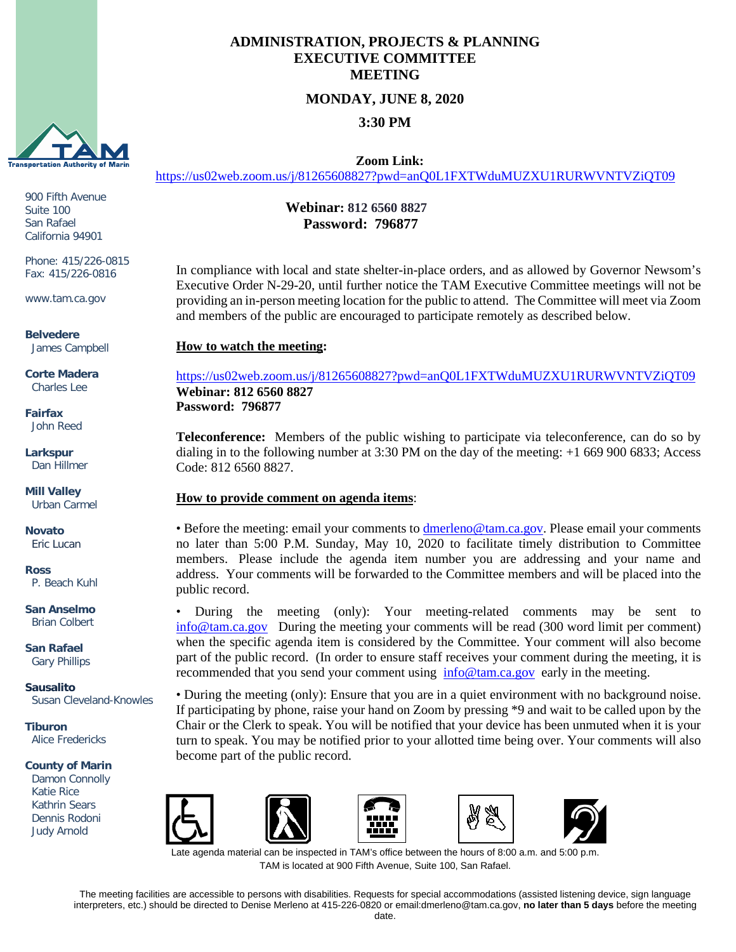

900 Fifth Avenue Suite 100 San Rafael California 94901

Phone: 415/226-0815 Fax: 415/226-0816

www.tam.ca.gov

**Belvedere** James Campbell

**Corte Madera** Charles Lee

**Fairfax** John Reed

**Larkspur** Dan Hillmer

**Mill Valley** Urban Carmel

**Novato** Eric Lucan

**Ross** P. Beach Kuhl

**San Anselmo** Brian Colbert

**San Rafael** Gary Phillips

**Sausalito** Susan Cleveland-Knowles

**Tiburon** Alice Fredericks

#### **County of Marin**

 Katie Rice Judy Arnold Damon Connolly Kathrin Sears Dennis Rodoni

## **ADMINISTRATION, PROJECTS & PLANNING EXECUTIVE COMMITTEE MEETING**

# **MONDAY, JUNE 8, 2020**

**3:30 PM**

 **Zoom Link:** 

<https://us02web.zoom.us/j/81265608827?pwd=anQ0L1FXTWduMUZXU1RURWVNTVZiQT09>

## **Webinar: 812 6560 8827 Password: 796877**

In compliance with local and state shelter-in-place orders, and as allowed by Governor Newsom's Executive Order N-29-20, until further notice the TAM Executive Committee meetings will not be providing an in-person meeting location for the public to attend. The Committee will meet via Zoom and members of the public are encouraged to participate remotely as described below.

## **How to watch the meeting:**

<https://us02web.zoom.us/j/81265608827?pwd=anQ0L1FXTWduMUZXU1RURWVNTVZiQT09> **Webinar: 812 6560 8827 Password: 796877**

**Teleconference:** Members of the public wishing to participate via teleconference, can do so by dialing in to the following number at 3:30 PM on the day of the meeting: +1 669 900 6833; Access Code: 812 6560 8827.

### **How to provide comment on agenda items**:

• Before the meeting: email your comments to **dmerleno@tam.ca.gov**. Please email your comments no later than 5:00 P.M. Sunday, May 10, 2020 to facilitate timely distribution to Committee members. Please include the agenda item number you are addressing and your name and address. Your comments will be forwarded to the Committee members and will be placed into the public record.

• During the meeting (only): Your meeting-related comments may be sent to [info@tam.ca.gov](mailto:info@tam.ca.gov) During the meeting your comments will be read (300 word limit per comment) when the specific agenda item is considered by the Committee. Your comment will also become part of the public record. (In order to ensure staff receives your comment during the meeting, it is recommended that you send your comment using [info@tam.ca.gov](mailto:info@tam.ca.gov) early in the meeting.

• During the meeting (only): Ensure that you are in a quiet environment with no background noise. If participating by phone, raise your hand on Zoom by pressing \*9 and wait to be called upon by the Chair or the Clerk to speak. You will be notified that your device has been unmuted when it is your turn to speak. You may be notified prior to your allotted time being over. Your comments will also become part of the public record.











ate agenda material can be inspected in TAM's office between the hours of 8:00 a.m. and 5:00 p.m. TAM is located at 900 Fifth Avenue, Suite 100, San Rafael.

The meeting facilities are accessible to persons with disabilities. Requests for special accommodations (assisted listening device, sign language interpreters, etc.) should be directed to Denise Merleno at 415-226-0820 or email:dmerleno@tam.ca.gov, **no later than 5 days** before the meeting date.